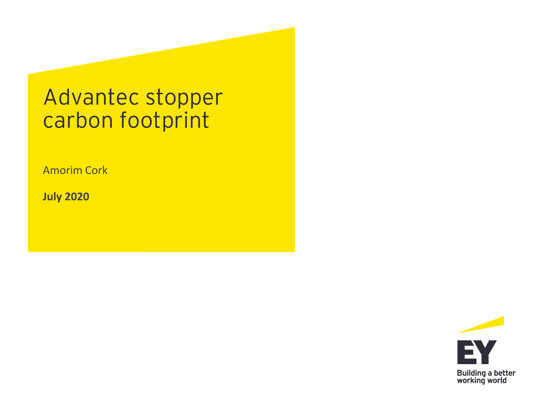# Advantec stopper carbon footprint

Amorim Cork

**July 2020**

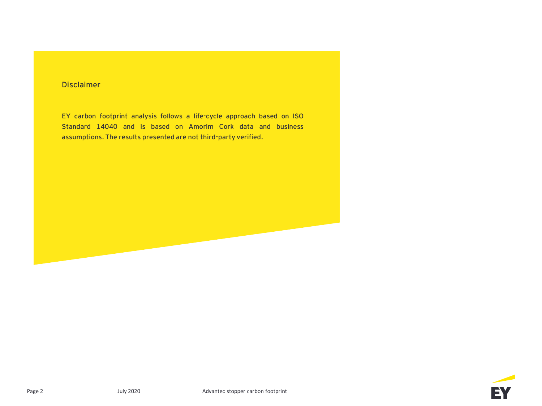#### **Disclaimer**

**EY carbon footprint analysis follows a life-cycle approach based on ISO Standard 14040 and is based on Amorim Cork data and business assumptions. The results presented are not third-party verified.**

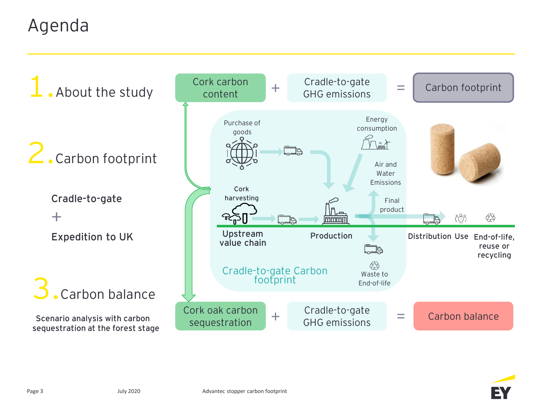## Agenda



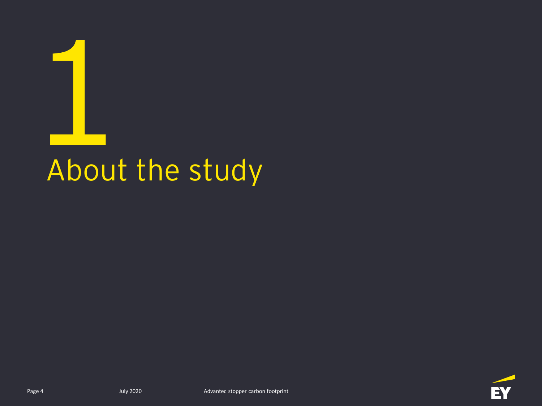

# About the study

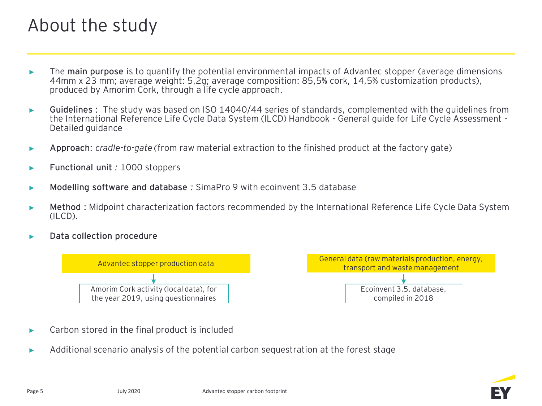## About the study

- ► The **main purpose** is to quantify the potential environmental impacts of Advantec stopper (average dimensions 44mm x 23 mm; average weight: 5,2g; average composition: 85,5% cork, 14,5% customization products), produced by Amorim Cork, through a life cycle approach.
- ► **Guidelines** : The study was based on ISO 14040/44 series of standards, complemented with the guidelines from the International Reference Life Cycle Data System (ILCD) Handbook - General guide for Life Cycle Assessment - Detailed guidance
- ► **Approach**: *cradle-to-gate (*from raw material extraction to the finished product at the factory gate)
- ► **Functional unit** *:* 1000 stoppers
- ► **Modelling software and database** *:* SimaPro 9 with ecoinvent 3.5 database
- ► **Method** : Midpoint characterization factors recommended by the International Reference Life Cycle Data System (ILCD).
- ► **Data collection procedure**



- Carbon stored in the final product is included
- ► Additional scenario analysis of the potential carbon sequestration at the forest stage

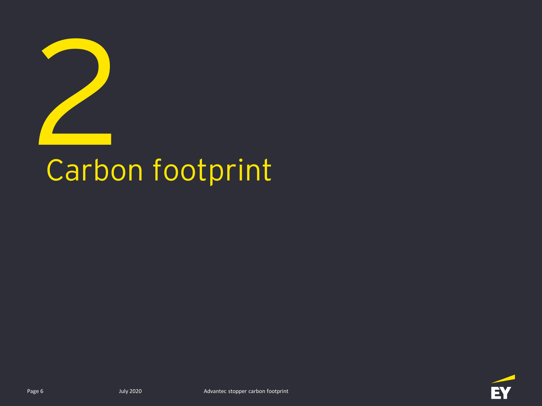

# Carbon footprint

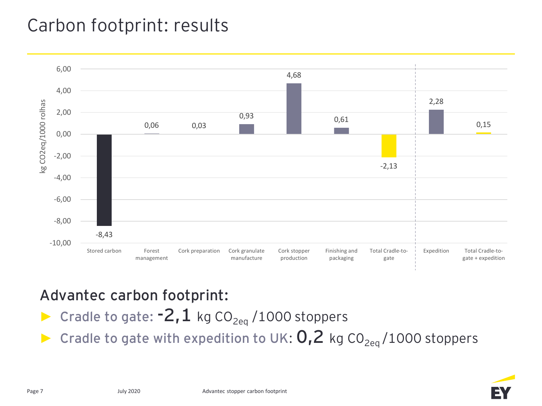## Carbon footprint: results



#### **Advantec carbon footprint:**

- ► Cradle to gate:  $-2, 1$  kg CO<sub>2eq</sub> /1000 stoppers
- Cradle to gate with expedition to UK:  $0, 2$  kg CO<sub>2eq</sub>/1000 stoppers

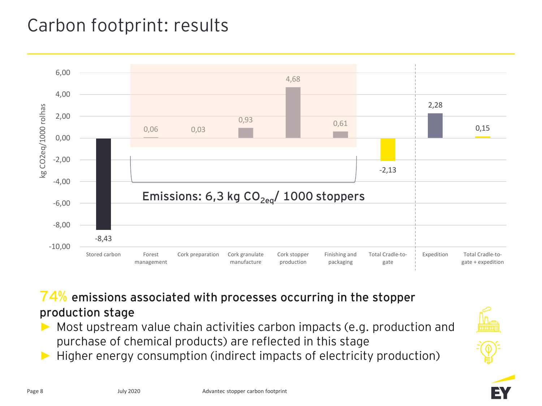## Carbon footprint: results



**74% emissions associated with processes occurring in the stopper production stage**

- Most upstream value chain activities carbon impacts (e.g. production and purchase of chemical products) are reflected in this stage
- ► Higher energy consumption (indirect impacts of electricity production)





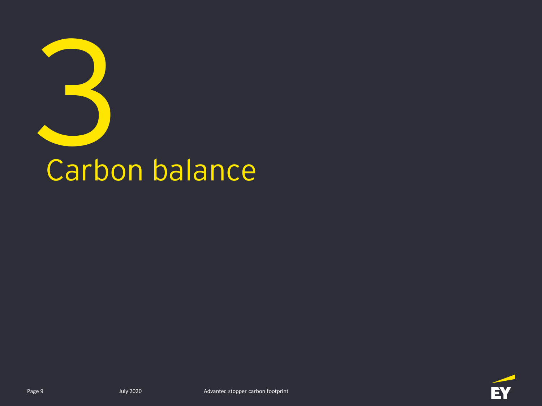

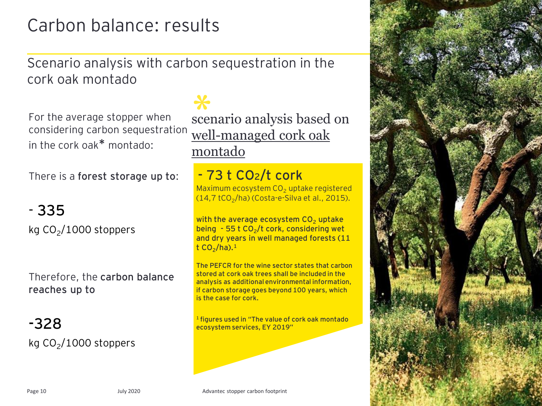## Carbon balance: results

Scenario analysis with carbon sequestration in the cork oak montado

For the average stopper when considering carbon sequestration in the cork oak**\*** montado:

There is a **forest storage up to**:

#### - **335**

kg CO<sub>2</sub>/1000 stoppers

Therefore, the **carbon balance reaches up to** 

**-328** kg CO<sub>2</sub>/1000 stoppers

scenario analysis based on **\*** well-managed cork oak montado

#### **- 73 t CO2/t cork**

Maximum ecosystem  $CO<sub>2</sub>$  uptake registered (14,7 tCO<sub>2</sub>/ha) (Costa-e-Silva et al., 2015).

**with the average ecosystem CO<sub>2</sub> uptake being - 55 t CO<sup>2</sup> /t cork, considering wet and dry years in well managed forests (11 t CO<sup>2</sup> /ha).<sup>1</sup>**

**The PEFCR for the wine sector states that carbon stored at cork oak trees shall be included in the analysis as additional environmental information, if carbon storage goes beyond 100 years, which is the case for cork.**

**<sup>1</sup>figures used in "The value of cork oak montado ecosystem services, EY 2019"**

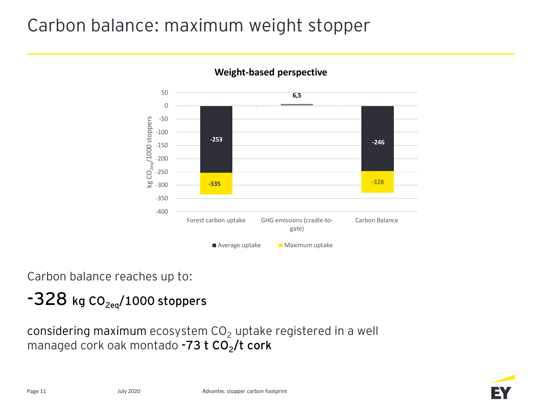## Carbon balance: maximum weight stopper



#### **Weight-based perspective**

Carbon balance reaches up to:

#### **-328 kg CO2eq/1000 stoppers**

considering maximum ecosystem  $CO<sub>2</sub>$  uptake registered in a well managed cork oak montado **-73 t CO<sup>2</sup> /t cork**